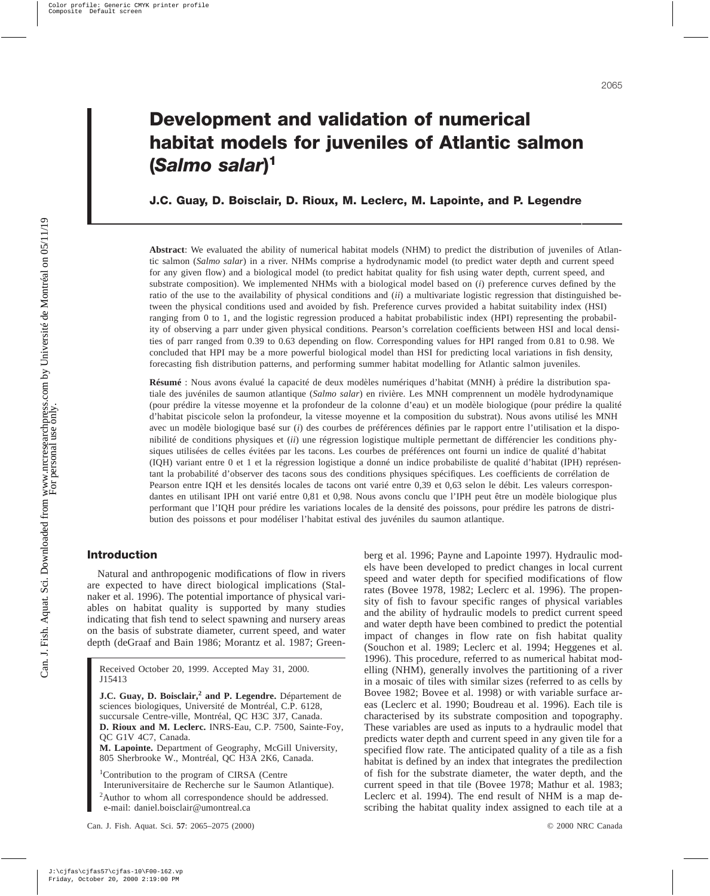# **J.C. Guay, D. Boisclair, D. Rioux, M. Leclerc, M. Lapointe, and P. Legendre**

**Abstract**: We evaluated the ability of numerical habitat models (NHM) to predict the distribution of juveniles of Atlantic salmon (*Salmo salar*) in a river. NHMs comprise a hydrodynamic model (to predict water depth and current speed for any given flow) and a biological model (to predict habitat quality for fish using water depth, current speed, and substrate composition). We implemented NHMs with a biological model based on (*i*) preference curves defined by the ratio of the use to the availability of physical conditions and (*ii*) a multivariate logistic regression that distinguished between the physical conditions used and avoided by fish. Preference curves provided a habitat suitability index (HSI) ranging from 0 to 1, and the logistic regression produced a habitat probabilistic index (HPI) representing the probability of observing a parr under given physical conditions. Pearson's correlation coefficients between HSI and local densities of parr ranged from 0.39 to 0.63 depending on flow. Corresponding values for HPI ranged from 0.81 to 0.98. We concluded that HPI may be a more powerful biological model than HSI for predicting local variations in fish density, forecasting fish distribution patterns, and performing summer habitat modelling for Atlantic salmon juveniles.

**Résumé** : Nous avons évalué la capacité de deux modèles numériques d'habitat (MNH) à prédire la distribution spatiale des juvéniles de saumon atlantique (*Salmo salar*) en rivière. Les MNH comprennent un modèle hydrodynamique (pour prédire la vitesse moyenne et la profondeur de la colonne d'eau) et un modèle biologique (pour prédire la qualité d'habitat piscicole selon la profondeur, la vitesse moyenne et la composition du substrat). Nous avons utilisé les MNH avec un modèle biologique basé sur (*i*) des courbes de préférences définies par le rapport entre l'utilisation et la disponibilité de conditions physiques et (*ii*) une régression logistique multiple permettant de différencier les conditions physiques utilisées de celles évitées par les tacons. Les courbes de préférences ont fourni un indice de qualité d'habitat (IQH) variant entre 0 et 1 et la régression logistique a donné un indice probabiliste de qualité d'habitat (IPH) représentant la probabilité d'observer des tacons sous des conditions physiques spécifiques. Les coefficients de corrélation de Pearson entre IQH et les densités locales de tacons ont varié entre 0,39 et 0,63 selon le débit. Les valeurs correspondantes en utilisant IPH ont varié entre 0,81 et 0,98. Nous avons conclu que l'IPH peut être un modèle biologique plus performant que l'IQH pour prédire les variations locales de la densité des poissons, pour prédire les patrons de distribution des poissons et pour modéliser l'habitat estival des juvéniles du saumon atlantique.

# **Introduction**

Natural and anthropogenic modifications of flow in rivers are expected to have direct biological implications (Stalnaker et al. 1996). The potential importance of physical variables on habitat quality is supported by many studies indicating that fish tend to select spawning and nursery areas on the basis of substrate diameter, current speed, and water depth (deGraaf and Bain 1986; Morantz et al. 1987; Green-

Received October 20, 1999. Accepted May 31, 2000. J15413

**J.C. Guay, D. Boisclair,<sup>2</sup> and P. Legendre.** Département de sciences biologiques, Université de Montréal, C.P. 6128, succursale Centre-ville, Montréal, QC H3C 3J7, Canada. **D. Rioux and M. Leclerc.** INRS-Eau, C.P. 7500, Sainte-Foy, QC G1V 4C7, Canada.

**M. Lapointe.** Department of Geography, McGill University, 805 Sherbrooke W., Montréal, QC H3A 2K6, Canada.

1 Contribution to the program of CIRSA (Centre

Interuniversitaire de Recherche sur le Saumon Atlantique).

<sup>2</sup>Author to whom all correspondence should be addressed. e-mail: daniel.boisclair@umontreal.ca

berg et al. 1996; Payne and Lapointe 1997). Hydraulic models have been developed to predict changes in local current speed and water depth for specified modifications of flow rates (Bovee 1978, 1982; Leclerc et al. 1996). The propensity of fish to favour specific ranges of physical variables and the ability of hydraulic models to predict current speed and water depth have been combined to predict the potential impact of changes in flow rate on fish habitat quality (Souchon et al. 1989; Leclerc et al. 1994; Heggenes et al. 1996). This procedure, referred to as numerical habitat modelling (NHM), generally involves the partitioning of a river in a mosaic of tiles with similar sizes (referred to as cells by Bovee 1982; Bovee et al. 1998) or with variable surface areas (Leclerc et al. 1990; Boudreau et al. 1996). Each tile is characterised by its substrate composition and topography. These variables are used as inputs to a hydraulic model that predicts water depth and current speed in any given tile for a specified flow rate. The anticipated quality of a tile as a fish habitat is defined by an index that integrates the predilection of fish for the substrate diameter, the water depth, and the current speed in that tile (Bovee 1978; Mathur et al. 1983; Leclerc et al. 1994). The end result of NHM is a map describing the habitat quality index assigned to each tile at a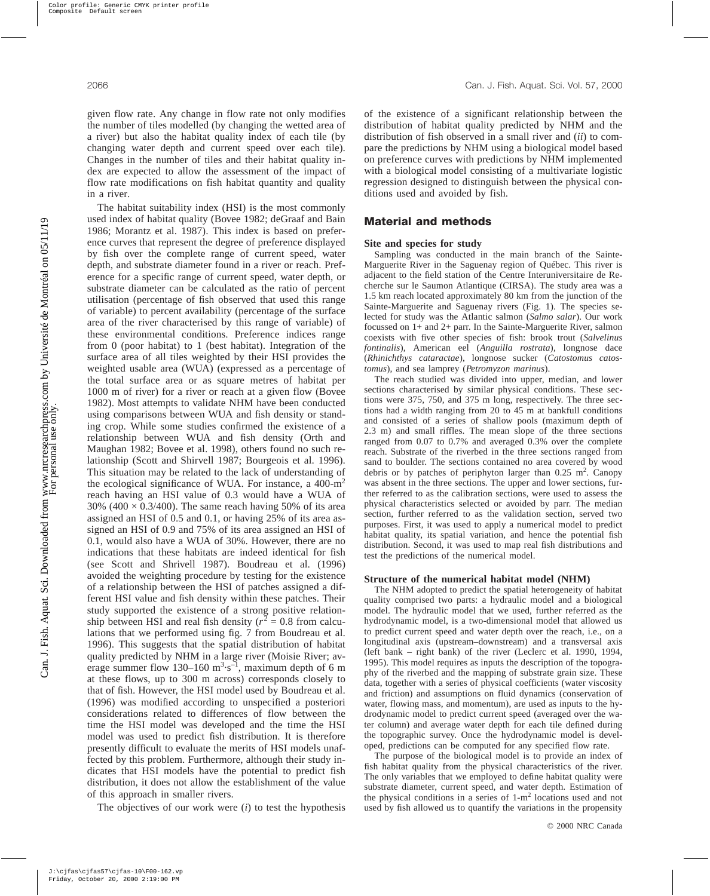given flow rate. Any change in flow rate not only modifies the number of tiles modelled (by changing the wetted area of a river) but also the habitat quality index of each tile (by changing water depth and current speed over each tile). Changes in the number of tiles and their habitat quality index are expected to allow the assessment of the impact of flow rate modifications on fish habitat quantity and quality in a river.

The habitat suitability index (HSI) is the most commonly used index of habitat quality (Bovee 1982; deGraaf and Bain 1986; Morantz et al. 1987). This index is based on preference curves that represent the degree of preference displayed by fish over the complete range of current speed, water depth, and substrate diameter found in a river or reach. Preference for a specific range of current speed, water depth, or substrate diameter can be calculated as the ratio of percent utilisation (percentage of fish observed that used this range of variable) to percent availability (percentage of the surface area of the river characterised by this range of variable) of these environmental conditions. Preference indices range from 0 (poor habitat) to 1 (best habitat). Integration of the surface area of all tiles weighted by their HSI provides the weighted usable area (WUA) (expressed as a percentage of the total surface area or as square metres of habitat per 1000 m of river) for a river or reach at a given flow (Bovee 1982). Most attempts to validate NHM have been conducted using comparisons between WUA and fish density or standing crop. While some studies confirmed the existence of a relationship between WUA and fish density (Orth and Maughan 1982; Bovee et al. 1998), others found no such relationship (Scott and Shirvell 1987; Bourgeois et al. 1996). This situation may be related to the lack of understanding of the ecological significance of WUA. For instance, a 400-m<sup>2</sup> reach having an HSI value of 0.3 would have a WUA of 30% (400  $\times$  0.3/400). The same reach having 50% of its area assigned an HSI of 0.5 and 0.1, or having 25% of its area assigned an HSI of 0.9 and 75% of its area assigned an HSI of 0.1, would also have a WUA of 30%. However, there are no indications that these habitats are indeed identical for fish (see Scott and Shrivell 1987). Boudreau et al. (1996) avoided the weighting procedure by testing for the existence of a relationship between the HSI of patches assigned a different HSI value and fish density within these patches. Their study supported the existence of a strong positive relationship between HSI and real fish density ( $r^2 = 0.8$  from calculations that we performed using fig. 7 from Boudreau et al. 1996). This suggests that the spatial distribution of habitat quality predicted by NHM in a large river (Moisie River; average summer flow 130–160  $m^3 \cdot s^{-1}$ , maximum depth of 6 m at these flows, up to 300 m across) corresponds closely to that of fish. However, the HSI model used by Boudreau et al. (1996) was modified according to unspecified a posteriori considerations related to differences of flow between the time the HSI model was developed and the time the HSI model was used to predict fish distribution. It is therefore presently difficult to evaluate the merits of HSI models unaffected by this problem. Furthermore, although their study indicates that HSI models have the potential to predict fish distribution, it does not allow the establishment of the value of this approach in smaller rivers.

The objectives of our work were (*i*) to test the hypothesis

of the existence of a significant relationship between the distribution of habitat quality predicted by NHM and the distribution of fish observed in a small river and (*ii*) to compare the predictions by NHM using a biological model based on preference curves with predictions by NHM implemented with a biological model consisting of a multivariate logistic regression designed to distinguish between the physical conditions used and avoided by fish.

## **Material and methods**

### **Site and species for study**

Sampling was conducted in the main branch of the Sainte-Marguerite River in the Saguenay region of Québec. This river is adjacent to the field station of the Centre Interuniversitaire de Recherche sur le Saumon Atlantique (CIRSA). The study area was a 1.5 km reach located approximately 80 km from the junction of the Sainte-Marguerite and Saguenay rivers (Fig. 1). The species selected for study was the Atlantic salmon (*Salmo salar*). Our work focussed on 1+ and 2+ parr. In the Sainte-Marguerite River, salmon coexists with five other species of fish: brook trout (*Salvelinus fontinalis*), American eel (*Anguilla rostrata*), longnose dace (*Rhinichthys cataractae*), longnose sucker (*Catostomus catostomus*), and sea lamprey (*Petromyzon marinus*).

The reach studied was divided into upper, median, and lower sections characterised by similar physical conditions. These sections were 375, 750, and 375 m long, respectively. The three sections had a width ranging from 20 to 45 m at bankfull conditions and consisted of a series of shallow pools (maximum depth of 2.3 m) and small riffles. The mean slope of the three sections ranged from 0.07 to 0.7% and averaged 0.3% over the complete reach. Substrate of the riverbed in the three sections ranged from sand to boulder. The sections contained no area covered by wood debris or by patches of periphyton larger than  $0.25 \text{ m}^2$ . Canopy was absent in the three sections. The upper and lower sections, further referred to as the calibration sections, were used to assess the physical characteristics selected or avoided by parr. The median section, further referred to as the validation section, served two purposes. First, it was used to apply a numerical model to predict habitat quality, its spatial variation, and hence the potential fish distribution. Second, it was used to map real fish distributions and test the predictions of the numerical model.

### **Structure of the numerical habitat model (NHM)**

The NHM adopted to predict the spatial heterogeneity of habitat quality comprised two parts: a hydraulic model and a biological model. The hydraulic model that we used, further referred as the hydrodynamic model, is a two-dimensional model that allowed us to predict current speed and water depth over the reach, i.e., on a longitudinal axis (upstream–downstream) and a transversal axis (left bank – right bank) of the river (Leclerc et al. 1990, 1994, 1995). This model requires as inputs the description of the topography of the riverbed and the mapping of substrate grain size. These data, together with a series of physical coefficients (water viscosity and friction) and assumptions on fluid dynamics (conservation of water, flowing mass, and momentum), are used as inputs to the hydrodynamic model to predict current speed (averaged over the water column) and average water depth for each tile defined during the topographic survey. Once the hydrodynamic model is developed, predictions can be computed for any specified flow rate.

The purpose of the biological model is to provide an index of fish habitat quality from the physical characteristics of the river. The only variables that we employed to define habitat quality were substrate diameter, current speed, and water depth. Estimation of the physical conditions in a series of  $1-m^2$  locations used and not used by fish allowed us to quantify the variations in the propensity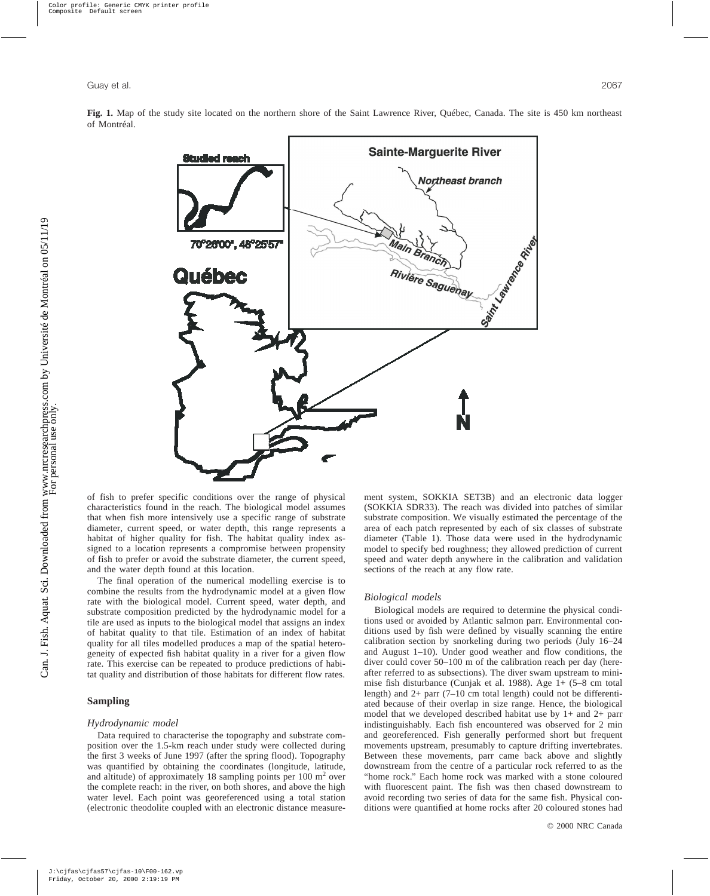

**Fig. 1.** Map of the study site located on the northern shore of the Saint Lawrence River, Québec, Canada. The site is 450 km northeast of Montréal.

of fish to prefer specific conditions over the range of physical characteristics found in the reach. The biological model assumes that when fish more intensively use a specific range of substrate diameter, current speed, or water depth, this range represents a habitat of higher quality for fish. The habitat quality index assigned to a location represents a compromise between propensity of fish to prefer or avoid the substrate diameter, the current speed, and the water depth found at this location.

The final operation of the numerical modelling exercise is to combine the results from the hydrodynamic model at a given flow rate with the biological model. Current speed, water depth, and substrate composition predicted by the hydrodynamic model for a tile are used as inputs to the biological model that assigns an index of habitat quality to that tile. Estimation of an index of habitat quality for all tiles modelled produces a map of the spatial heterogeneity of expected fish habitat quality in a river for a given flow rate. This exercise can be repeated to produce predictions of habitat quality and distribution of those habitats for different flow rates.

## **Sampling**

### *Hydrodynamic model*

Data required to characterise the topography and substrate composition over the 1.5-km reach under study were collected during the first 3 weeks of June 1997 (after the spring flood). Topography was quantified by obtaining the coordinates (longitude, latitude, and altitude) of approximately 18 sampling points per 100 m<sup>2</sup> over the complete reach: in the river, on both shores, and above the high water level. Each point was georeferenced using a total station (electronic theodolite coupled with an electronic distance measurement system, SOKKIA SET3B) and an electronic data logger (SOKKIA SDR33). The reach was divided into patches of similar substrate composition. We visually estimated the percentage of the area of each patch represented by each of six classes of substrate diameter (Table 1). Those data were used in the hydrodynamic model to specify bed roughness; they allowed prediction of current speed and water depth anywhere in the calibration and validation sections of the reach at any flow rate.

### *Biological models*

Biological models are required to determine the physical conditions used or avoided by Atlantic salmon parr. Environmental conditions used by fish were defined by visually scanning the entire calibration section by snorkeling during two periods (July 16–24 and August 1–10). Under good weather and flow conditions, the diver could cover 50–100 m of the calibration reach per day (hereafter referred to as subsections). The diver swam upstream to minimise fish disturbance (Cunjak et al. 1988). Age 1+ (5–8 cm total length) and 2+ parr (7–10 cm total length) could not be differentiated because of their overlap in size range. Hence, the biological model that we developed described habitat use by 1+ and 2+ parr indistinguishably. Each fish encountered was observed for 2 min and georeferenced. Fish generally performed short but frequent movements upstream, presumably to capture drifting invertebrates. Between these movements, parr came back above and slightly downstream from the centre of a particular rock referred to as the "home rock." Each home rock was marked with a stone coloured with fluorescent paint. The fish was then chased downstream to avoid recording two series of data for the same fish. Physical conditions were quantified at home rocks after 20 coloured stones had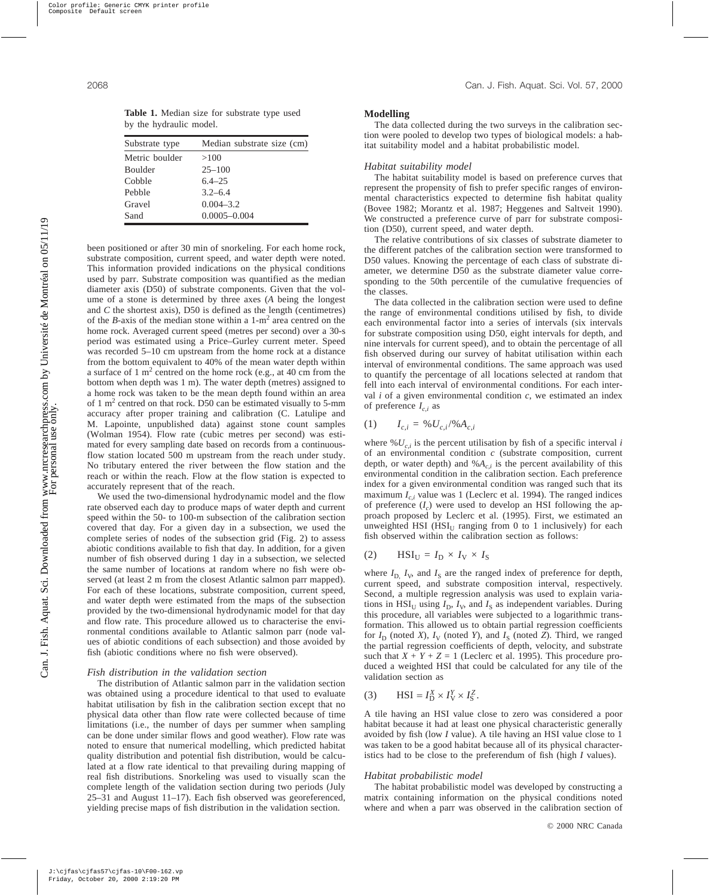**Table 1.** Median size for substrate type used by the hydraulic model.

| Substrate type | Median substrate size (cm) |
|----------------|----------------------------|
| Metric boulder | >100                       |
| <b>Boulder</b> | $25 - 100$                 |
| Cobble         | $6.4 - 2.5$                |
| Pebble         | $3.2 - 6.4$                |
| Gravel         | $0.004 - 3.2$              |
| Sand           | $0.0005 - 0.004$           |

been positioned or after 30 min of snorkeling. For each home rock, substrate composition, current speed, and water depth were noted. This information provided indications on the physical conditions used by parr. Substrate composition was quantified as the median diameter axis (D50) of substrate components. Given that the volume of a stone is determined by three axes (*A* being the longest and *C* the shortest axis), D50 is defined as the length (centimetres) of the *B*-axis of the median stone within a 1-m<sup>2</sup> area centred on the home rock. Averaged current speed (metres per second) over a 30-s period was estimated using a Price–Gurley current meter. Speed was recorded 5–10 cm upstream from the home rock at a distance from the bottom equivalent to 40% of the mean water depth within a surface of 1 m<sup>2</sup> centred on the home rock (e.g., at 40 cm from the bottom when depth was 1 m). The water depth (metres) assigned to a home rock was taken to be the mean depth found within an area of 1 m2 centred on that rock. D50 can be estimated visually to 5-mm accuracy after proper training and calibration (C. Latulipe and M. Lapointe, unpublished data) against stone count samples (Wolman 1954). Flow rate (cubic metres per second) was estimated for every sampling date based on records from a continuousflow station located 500 m upstream from the reach under study. No tributary entered the river between the flow station and the reach or within the reach. Flow at the flow station is expected to accurately represent that of the reach.

We used the two-dimensional hydrodynamic model and the flow rate observed each day to produce maps of water depth and current speed within the 50- to 100-m subsection of the calibration section covered that day. For a given day in a subsection, we used the complete series of nodes of the subsection grid (Fig. 2) to assess abiotic conditions available to fish that day. In addition, for a given number of fish observed during 1 day in a subsection, we selected the same number of locations at random where no fish were observed (at least 2 m from the closest Atlantic salmon parr mapped). For each of these locations, substrate composition, current speed, and water depth were estimated from the maps of the subsection provided by the two-dimensional hydrodynamic model for that day and flow rate. This procedure allowed us to characterise the environmental conditions available to Atlantic salmon parr (node values of abiotic conditions of each subsection) and those avoided by fish (abiotic conditions where no fish were observed).

#### *Fish distribution in the validation section*

The distribution of Atlantic salmon parr in the validation section was obtained using a procedure identical to that used to evaluate habitat utilisation by fish in the calibration section except that no physical data other than flow rate were collected because of time limitations (i.e., the number of days per summer when sampling can be done under similar flows and good weather). Flow rate was noted to ensure that numerical modelling, which predicted habitat quality distribution and potential fish distribution, would be calculated at a flow rate identical to that prevailing during mapping of real fish distributions. Snorkeling was used to visually scan the complete length of the validation section during two periods (July 25–31 and August 11–17). Each fish observed was georeferenced, yielding precise maps of fish distribution in the validation section.

### **Modelling**

The data collected during the two surveys in the calibration section were pooled to develop two types of biological models: a habitat suitability model and a habitat probabilistic model.

### *Habitat suitability model*

The habitat suitability model is based on preference curves that represent the propensity of fish to prefer specific ranges of environmental characteristics expected to determine fish habitat quality (Bovee 1982; Morantz et al. 1987; Heggenes and Saltveit 1990). We constructed a preference curve of parr for substrate composition (D50), current speed, and water depth.

The relative contributions of six classes of substrate diameter to the different patches of the calibration section were transformed to D50 values. Knowing the percentage of each class of substrate diameter, we determine D50 as the substrate diameter value corresponding to the 50th percentile of the cumulative frequencies of the classes.

The data collected in the calibration section were used to define the range of environmental conditions utilised by fish, to divide each environmental factor into a series of intervals (six intervals for substrate composition using D50, eight intervals for depth, and nine intervals for current speed), and to obtain the percentage of all fish observed during our survey of habitat utilisation within each interval of environmental conditions. The same approach was used to quantify the percentage of all locations selected at random that fell into each interval of environmental conditions. For each interval *i* of a given environmental condition *c*, we estimated an index of preference  $I_{c,i}$  as

# $I_{c,i} = \% U_{c,i} / \% A_{c,i}$

where  $\mathcal{W}_{c,i}$  is the percent utilisation by fish of a specific interval *i* of an environmental condition *c* (substrate composition, current depth, or water depth) and  $%A_{c,i}$  is the percent availability of this environmental condition in the calibration section. Each preference index for a given environmental condition was ranged such that its maximum  $I_{c,i}$  value was 1 (Leclerc et al. 1994). The ranged indices of preference  $(I_c)$  were used to develop an HSI following the approach proposed by Leclerc et al. (1995). First, we estimated an unweighted HSI ( $HSI_U$  ranging from 0 to 1 inclusively) for each fish observed within the calibration section as follows:

$$
(2) \qquad \text{HSI}_{\text{U}} = I_{\text{D}} \times I_{\text{V}} \times I_{\text{S}}
$$

where  $I_{\text{D}}$ ,  $I_{\text{V}}$ , and  $I_{\text{S}}$  are the ranged index of preference for depth, current speed, and substrate composition interval, respectively. Second, a multiple regression analysis was used to explain variations in  $HSI_U$  using  $I_D$ ,  $I_V$ , and  $I_S$  as independent variables. During this procedure, all variables were subjected to a logarithmic transformation. This allowed us to obtain partial regression coefficients for  $I_D$  (noted *X*),  $I_V$  (noted *Y*), and  $I_S$  (noted *Z*). Third, we ranged the partial regression coefficients of depth, velocity, and substrate such that  $X + Y + Z = 1$  (Leclerc et al. 1995). This procedure produced a weighted HSI that could be calculated for any tile of the validation section as

(3) HSI = 
$$
I_D^X \times I_V^Y \times I_S^Z
$$
.

A tile having an HSI value close to zero was considered a poor habitat because it had at least one physical characteristic generally avoided by fish (low *I* value). A tile having an HSI value close to 1 was taken to be a good habitat because all of its physical characteristics had to be close to the preferendum of fish (high *I* values).

#### *Habitat probabilistic model*

The habitat probabilistic model was developed by constructing a matrix containing information on the physical conditions noted where and when a parr was observed in the calibration section of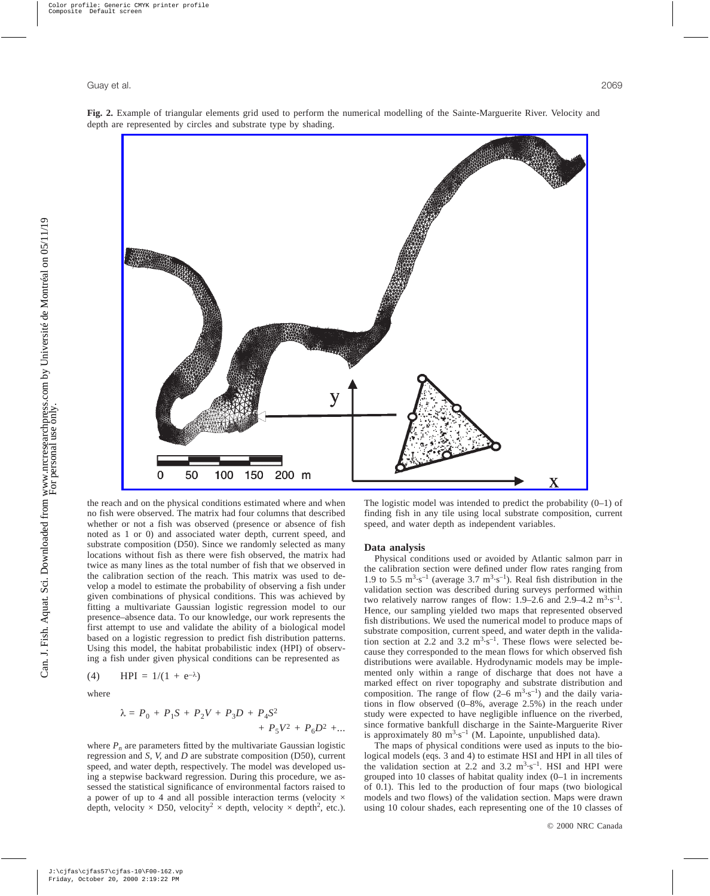



the reach and on the physical conditions estimated where and when no fish were observed. The matrix had four columns that described whether or not a fish was observed (presence or absence of fish noted as 1 or 0) and associated water depth, current speed, and substrate composition (D50). Since we randomly selected as many locations without fish as there were fish observed, the matrix had twice as many lines as the total number of fish that we observed in the calibration section of the reach. This matrix was used to develop a model to estimate the probability of observing a fish under given combinations of physical conditions. This was achieved by fitting a multivariate Gaussian logistic regression model to our presence–absence data. To our knowledge, our work represents the first attempt to use and validate the ability of a biological model based on a logistic regression to predict fish distribution patterns. Using this model, the habitat probabilistic index (HPI) of observing a fish under given physical conditions can be represented as

$$
^{\prime\prime}\quad\text{m}^{\prime}
$$

(4) HPI = 
$$
1/(1 + e^{-\lambda})
$$

where

$$
\lambda = P_0 + P_1 S + P_2 V + P_3 D + P_4 S^2
$$
  
+ 
$$
P_5 V^2 + P_6 D^2 + \dots
$$

where  $P_n$  are parameters fitted by the multivariate Gaussian logistic regression and *S*, *V*, and *D* are substrate composition (D50), current speed, and water depth, respectively. The model was developed using a stepwise backward regression. During this procedure, we assessed the statistical significance of environmental factors raised to a power of up to 4 and all possible interaction terms (velocity  $\times$ depth, velocity  $\times$  D50, velocity<sup>2</sup>  $\times$  depth, velocity  $\times$  depth<sup>2</sup>, etc.).

The logistic model was intended to predict the probability (0–1) of finding fish in any tile using local substrate composition, current speed, and water depth as independent variables.

### **Data analysis**

Physical conditions used or avoided by Atlantic salmon parr in the calibration section were defined under flow rates ranging from 1.9 to 5.5  $\text{m}^3 \cdot \text{s}^{-1}$  (average 3.7  $\text{m}^3 \cdot \text{s}^{-1}$ ). Real fish distribution in the validation section was described during surveys performed within two relatively narrow ranges of flow:  $1.9-2.6$  and  $2.9-4.2$   $\mathrm{m}^{3}\cdot\mathrm{s}^{-1}$ . Hence, our sampling yielded two maps that represented observed fish distributions. We used the numerical model to produce maps of substrate composition, current speed, and water depth in the validation section at 2.2 and 3.2  $m^3 \cdot s^{-1}$ . These flows were selected because they corresponded to the mean flows for which observed fish distributions were available. Hydrodynamic models may be implemented only within a range of discharge that does not have a marked effect on river topography and substrate distribution and composition. The range of flow  $(2-6 \text{ m}^3 \cdot \text{s}^{-1})$  and the daily variations in flow observed (0–8%, average 2.5%) in the reach under study were expected to have negligible influence on the riverbed, since formative bankfull discharge in the Sainte-Marguerite River is approximately 80  $m^3 \cdot s^{-1}$  (M. Lapointe, unpublished data).

The maps of physical conditions were used as inputs to the biological models (eqs. 3 and 4) to estimate HSI and HPI in all tiles of the validation section at 2.2 and 3.2  $m^3 \cdot s^{-1}$ . HSI and HPI were grouped into 10 classes of habitat quality index (0–1 in increments of 0.1). This led to the production of four maps (two biological models and two flows) of the validation section. Maps were drawn using 10 colour shades, each representing one of the 10 classes of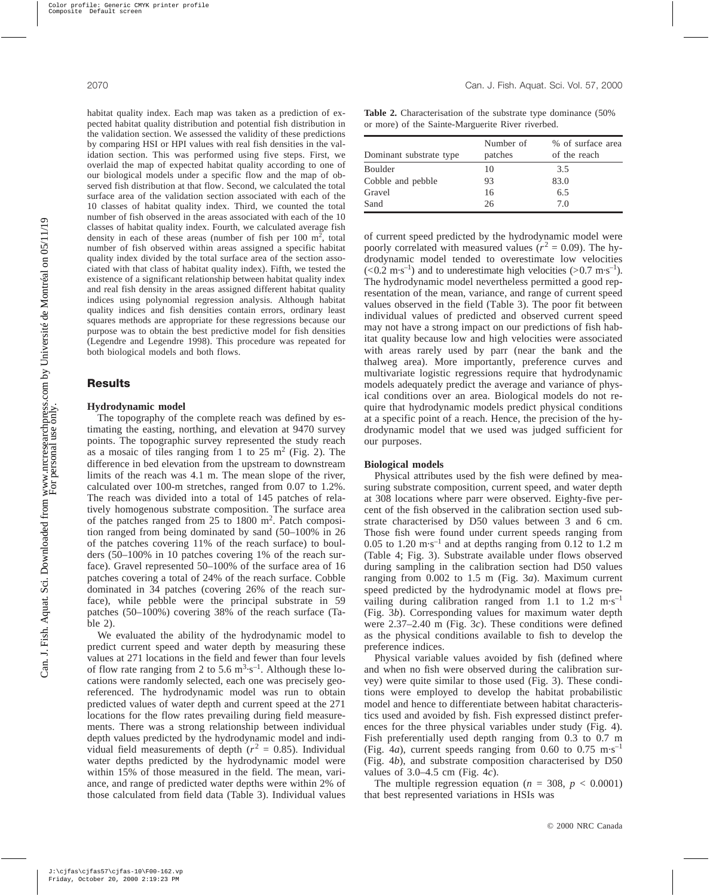habitat quality index. Each map was taken as a prediction of expected habitat quality distribution and potential fish distribution in the validation section. We assessed the validity of these predictions by comparing HSI or HPI values with real fish densities in the validation section. This was performed using five steps. First, we overlaid the map of expected habitat quality according to one of our biological models under a specific flow and the map of observed fish distribution at that flow. Second, we calculated the total surface area of the validation section associated with each of the 10 classes of habitat quality index. Third, we counted the total number of fish observed in the areas associated with each of the 10 classes of habitat quality index. Fourth, we calculated average fish density in each of these areas (number of fish per  $100 \text{ m}^2$ , total number of fish observed within areas assigned a specific habitat quality index divided by the total surface area of the section associated with that class of habitat quality index). Fifth, we tested the existence of a significant relationship between habitat quality index and real fish density in the areas assigned different habitat quality indices using polynomial regression analysis. Although habitat quality indices and fish densities contain errors, ordinary least squares methods are appropriate for these regressions because our purpose was to obtain the best predictive model for fish densities (Legendre and Legendre 1998). This procedure was repeated for both biological models and both flows.

## **Results**

## **Hydrodynamic model**

The topography of the complete reach was defined by estimating the easting, northing, and elevation at 9470 survey points. The topographic survey represented the study reach as a mosaic of tiles ranging from 1 to  $25 \text{ m}^2$  (Fig. 2). The difference in bed elevation from the upstream to downstream limits of the reach was 4.1 m. The mean slope of the river, calculated over 100-m stretches, ranged from 0.07 to 1.2%. The reach was divided into a total of 145 patches of relatively homogenous substrate composition. The surface area of the patches ranged from 25 to 1800 m<sup>2</sup>. Patch composition ranged from being dominated by sand (50–100% in 26 of the patches covering 11% of the reach surface) to boulders (50–100% in 10 patches covering 1% of the reach surface). Gravel represented 50–100% of the surface area of 16 patches covering a total of 24% of the reach surface. Cobble dominated in 34 patches (covering 26% of the reach surface), while pebble were the principal substrate in 59 patches (50–100%) covering 38% of the reach surface (Table 2).

We evaluated the ability of the hydrodynamic model to predict current speed and water depth by measuring these values at 271 locations in the field and fewer than four levels of flow rate ranging from 2 to 5.6  $\text{m}^3 \cdot \text{s}^{-1}$ . Although these locations were randomly selected, each one was precisely georeferenced. The hydrodynamic model was run to obtain predicted values of water depth and current speed at the 271 locations for the flow rates prevailing during field measurements. There was a strong relationship between individual depth values predicted by the hydrodynamic model and individual field measurements of depth  $(r^2 = 0.85)$ . Individual water depths predicted by the hydrodynamic model were within 15% of those measured in the field. The mean, variance, and range of predicted water depths were within 2% of those calculated from field data (Table 3). Individual values

**Table 2.** Characterisation of the substrate type dominance (50% or more) of the Sainte-Marguerite River riverbed.

| Dominant substrate type | Number of<br>patches | % of surface area<br>of the reach |
|-------------------------|----------------------|-----------------------------------|
| <b>Boulder</b>          | 10                   | 3.5                               |
| Cobble and pebble       | 93                   | 83.0                              |
| Gravel                  | 16                   | 6.5                               |
| Sand                    | 26                   | 70                                |

of current speed predicted by the hydrodynamic model were poorly correlated with measured values ( $r^2 = 0.09$ ). The hydrodynamic model tended to overestimate low velocities  $(< 0.2 \text{ m} \cdot \text{s}^{-1})$  and to underestimate high velocities ( $> 0.7 \text{ m} \cdot \text{s}^{-1}$ ). The hydrodynamic model nevertheless permitted a good representation of the mean, variance, and range of current speed values observed in the field (Table 3). The poor fit between individual values of predicted and observed current speed may not have a strong impact on our predictions of fish habitat quality because low and high velocities were associated with areas rarely used by parr (near the bank and the thalweg area). More importantly, preference curves and multivariate logistic regressions require that hydrodynamic models adequately predict the average and variance of physical conditions over an area. Biological models do not require that hydrodynamic models predict physical conditions at a specific point of a reach. Hence, the precision of the hydrodynamic model that we used was judged sufficient for our purposes.

#### **Biological models**

Physical attributes used by the fish were defined by measuring substrate composition, current speed, and water depth at 308 locations where parr were observed. Eighty-five percent of the fish observed in the calibration section used substrate characterised by D50 values between 3 and 6 cm. Those fish were found under current speeds ranging from 0.05 to 1.20  $\text{m}\cdot\text{s}^{-1}$  and at depths ranging from 0.12 to 1.2 m (Table 4; Fig. 3). Substrate available under flows observed during sampling in the calibration section had D50 values ranging from 0.002 to 1.5 m (Fig. 3*a*). Maximum current speed predicted by the hydrodynamic model at flows prevailing during calibration ranged from 1.1 to 1.2 m·s<sup>-1</sup> (Fig. 3*b*). Corresponding values for maximum water depth were 2.37–2.40 m (Fig. 3*c*). These conditions were defined as the physical conditions available to fish to develop the preference indices.

Physical variable values avoided by fish (defined where and when no fish were observed during the calibration survey) were quite similar to those used (Fig. 3). These conditions were employed to develop the habitat probabilistic model and hence to differentiate between habitat characteristics used and avoided by fish. Fish expressed distinct preferences for the three physical variables under study (Fig. 4). Fish preferentially used depth ranging from 0.3 to 0.7 m (Fig. 4*a*), current speeds ranging from 0.60 to 0.75 m·s<sup>-1</sup> (Fig. 4*b*), and substrate composition characterised by D50 values of 3.0–4.5 cm (Fig. 4*c*).

The multiple regression equation ( $n = 308$ ,  $p < 0.0001$ ) that best represented variations in HSIs was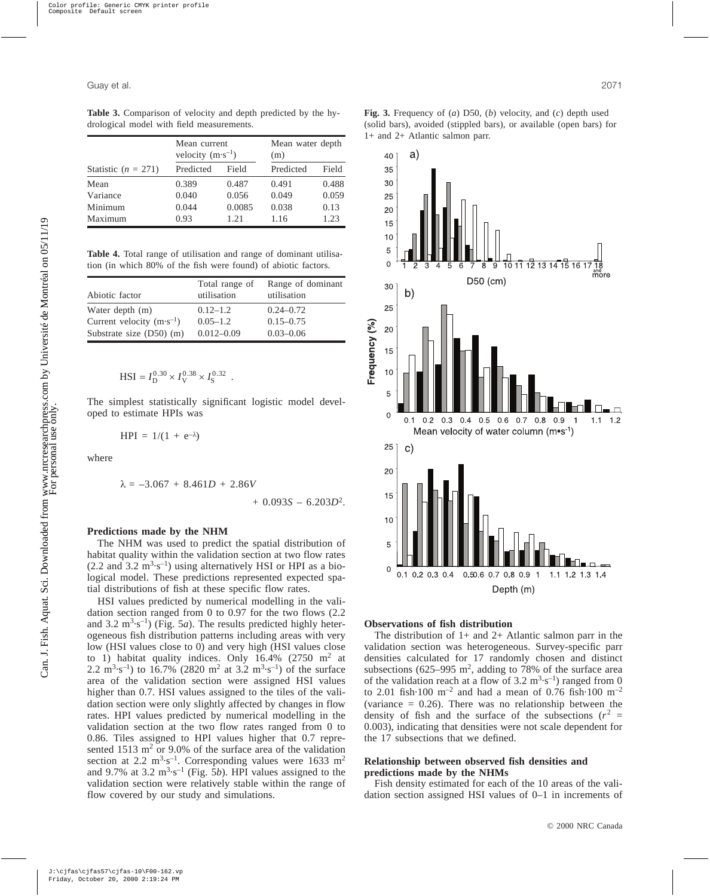**Table 3.** Comparison of velocity and depth predicted by the hydrological model with field measurements.

|                       | Mean current<br>velocity $(m \cdot s^{-1})$ |        | Mean water depth<br>(m) |       |
|-----------------------|---------------------------------------------|--------|-------------------------|-------|
| Statistic $(n = 271)$ | Predicted                                   | Field  | Predicted               | Field |
| Mean                  | 0.389                                       | 0.487  | 0.491                   | 0.488 |
| Variance              | 0.040                                       | 0.056  | 0.049                   | 0.059 |
| Minimum               | 0.044                                       | 0.0085 | 0.038                   | 0.13  |
| Maximum               | 0.93                                        | 1.21   | 1.16                    | 1.23  |

**Table 4.** Total range of utilisation and range of dominant utilisation (in which 80% of the fish were found) of abiotic factors.

|                                     | Total range of | Range of dominant |
|-------------------------------------|----------------|-------------------|
| Abiotic factor                      | utilisation    | utilisation       |
| Water depth (m)                     | $0.12 - 1.2$   | $0.24 - 0.72$     |
| Current velocity $(m \cdot s^{-1})$ | $0.05 - 1.2$   | $0.15 - 0.75$     |
| Substrate size $(D50)$ (m)          | $0.012 - 0.09$ | $0.03 - 0.06$     |

$$
HSI = I_D^{0.30} \times I_V^{0.38} \times I_S^{0.32} .
$$

The simplest statistically significant logistic model developed to estimate HPIs was

$$
HPI = 1/(1 + e^{-\lambda})
$$

where

$$
\lambda = -3.067 + 8.461D + 2.86V + 0.093S - 6.203D^2.
$$

## **Predictions made by the NHM**

The NHM was used to predict the spatial distribution of habitat quality within the validation section at two flow rates  $(2.2 \text{ and } 3.2 \text{ m}^3 \cdot \text{s}^{-1})$  using alternatively HSI or HPI as a biological model. These predictions represented expected spatial distributions of fish at these specific flow rates.

HSI values predicted by numerical modelling in the validation section ranged from 0 to 0.97 for the two flows (2.2 and  $3.2 \text{ m}^3 \cdot \text{s}^{-1}$ ) (Fig. 5*a*). The results predicted highly heterogeneous fish distribution patterns including areas with very low (HSI values close to 0) and very high (HSI values close to 1) habitat quality indices. Only  $16.4\%$  (2750 m<sup>2</sup> at 2.2 m<sup>3</sup> $\cdot$ s<sup>-1</sup>) to 16.7% (2820 m<sup>2</sup> at 3.2 m<sup>3</sup> $\cdot$ s<sup>-1</sup>) of the surface area of the validation section were assigned HSI values higher than 0.7. HSI values assigned to the tiles of the validation section were only slightly affected by changes in flow rates. HPI values predicted by numerical modelling in the validation section at the two flow rates ranged from 0 to 0.86. Tiles assigned to HPI values higher that 0.7 represented  $1513 \text{ m}^2$  or 9.0% of the surface area of the validation section at 2.2  $\text{m}^3 \cdot \text{s}^{-1}$ . Corresponding values were 1633  $\text{m}^2$ and 9.7% at 3.2  $\text{m}^3 \cdot \text{s}^{-1}$  (Fig. 5*b*). HPI values assigned to the validation section were relatively stable within the range of flow covered by our study and simulations.





### **Observations of fish distribution**

The distribution of  $1+$  and  $2+$  Atlantic salmon parr in the validation section was heterogeneous. Survey-specific parr densities calculated for 17 randomly chosen and distinct subsections (625–995  $m^2$ , adding to 78% of the surface area of the validation reach at a flow of  $3.2 \text{ m}^3 \cdot \text{s}^{-1}$ ) ranged from 0 to 2.01 fish $\cdot$ 100 m<sup>-2</sup> and had a mean of 0.76 fish $\cdot$ 100 m<sup>-2</sup> (variance  $= 0.26$ ). There was no relationship between the density of fish and the surface of the subsections  $(r^2 =$ 0.003), indicating that densities were not scale dependent for the 17 subsections that we defined.

## **Relationship between observed fish densities and predictions made by the NHMs**

Fish density estimated for each of the 10 areas of the validation section assigned HSI values of 0–1 in increments of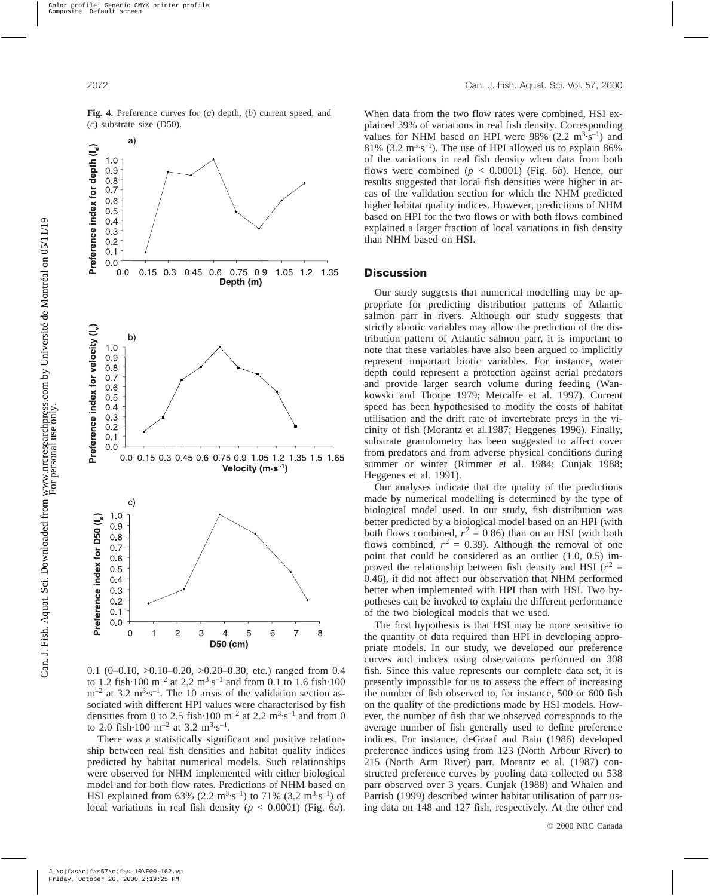

**Fig. 4.** Preference curves for (*a*) depth, (*b*) current speed, and (*c*) substrate size (D50).

0.1 (0–0.10, >0.10–0.20, >0.20–0.30, etc.) ranged from 0.4 to 1.2 fish $\cdot$ 100 m<sup>-2</sup> at 2.2 m<sup>3</sup> $\cdot$ s<sup>-1</sup> and from 0.1 to 1.6 fish $\cdot$ 100  $\rm m^{-2}$  at 3.2  $\rm m^{3} \cdot s^{-1}$ . The 10 areas of the validation section associated with different HPI values were characterised by fish densities from 0 to 2.5 fish $\cdot$ 100 m<sup>-2</sup> at 2.2 m<sup>3</sup> $\cdot$ s<sup>-1</sup> and from 0 to 2.0 fish $\cdot$ 100 m<sup>-2</sup> at 3.2 m<sup>3</sup> $\cdot$ s<sup>-1</sup>.

There was a statistically significant and positive relationship between real fish densities and habitat quality indices predicted by habitat numerical models. Such relationships were observed for NHM implemented with either biological model and for both flow rates. Predictions of NHM based on HSI explained from 63% (2.2 m<sup>3</sup>·s<sup>-1</sup>) to 71% (3.2 m<sup>3</sup>·s<sup>-1</sup>) of local variations in real fish density (*p* < 0.0001) (Fig. 6*a*).

When data from the two flow rates were combined, HSI explained 39% of variations in real fish density. Corresponding values for NHM based on HPI were  $98\%$  (2.2 m<sup>3</sup>·s<sup>-1</sup>) and 81% (3.2  $m<sup>3</sup>·s<sup>-1</sup>$ ). The use of HPI allowed us to explain 86% of the variations in real fish density when data from both flows were combined  $(p < 0.0001)$  (Fig. 6*b*). Hence, our results suggested that local fish densities were higher in areas of the validation section for which the NHM predicted higher habitat quality indices. However, predictions of NHM based on HPI for the two flows or with both flows combined explained a larger fraction of local variations in fish density than NHM based on HSI.

## **Discussion**

Our study suggests that numerical modelling may be appropriate for predicting distribution patterns of Atlantic salmon parr in rivers. Although our study suggests that strictly abiotic variables may allow the prediction of the distribution pattern of Atlantic salmon parr, it is important to note that these variables have also been argued to implicitly represent important biotic variables. For instance, water depth could represent a protection against aerial predators and provide larger search volume during feeding (Wankowski and Thorpe 1979; Metcalfe et al. 1997). Current speed has been hypothesised to modify the costs of habitat utilisation and the drift rate of invertebrate preys in the vicinity of fish (Morantz et al.1987; Heggenes 1996). Finally, substrate granulometry has been suggested to affect cover from predators and from adverse physical conditions during summer or winter (Rimmer et al. 1984; Cunjak 1988; Heggenes et al. 1991).

Our analyses indicate that the quality of the predictions made by numerical modelling is determined by the type of biological model used. In our study, fish distribution was better predicted by a biological model based on an HPI (with both flows combined,  $r^2 = 0.86$ ) than on an HSI (with both flows combined,  $r^2 = 0.39$ ). Although the removal of one point that could be considered as an outlier (1.0, 0.5) improved the relationship between fish density and HSI  $(r^2 =$ 0.46), it did not affect our observation that NHM performed better when implemented with HPI than with HSI. Two hypotheses can be invoked to explain the different performance of the two biological models that we used.

The first hypothesis is that HSI may be more sensitive to the quantity of data required than HPI in developing appropriate models. In our study, we developed our preference curves and indices using observations performed on 308 fish. Since this value represents our complete data set, it is presently impossible for us to assess the effect of increasing the number of fish observed to, for instance, 500 or 600 fish on the quality of the predictions made by HSI models. However, the number of fish that we observed corresponds to the average number of fish generally used to define preference indices. For instance, deGraaf and Bain (1986) developed preference indices using from 123 (North Arbour River) to 215 (North Arm River) parr. Morantz et al. (1987) constructed preference curves by pooling data collected on 538 parr observed over 3 years. Cunjak (1988) and Whalen and Parrish (1999) described winter habitat utilisation of parr using data on 148 and 127 fish, respectively. At the other end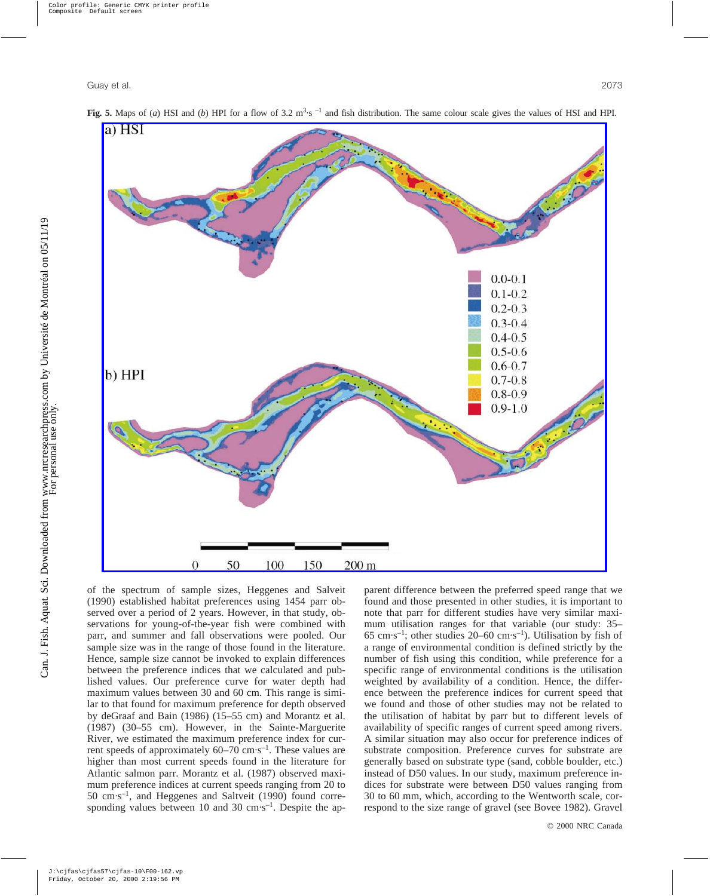

**Fig. 5.** Maps of (*a*) HSI and (*b*) HPI for a flow of 3.2  $\text{m}^3 \cdot \text{s}^{-1}$  and fish distribution. The same colour scale gives the values of HSI and HPI.

of the spectrum of sample sizes, Heggenes and Salveit (1990) established habitat preferences using 1454 parr observed over a period of 2 years. However, in that study, observations for young-of-the-year fish were combined with parr, and summer and fall observations were pooled. Our sample size was in the range of those found in the literature. Hence, sample size cannot be invoked to explain differences between the preference indices that we calculated and published values. Our preference curve for water depth had maximum values between 30 and 60 cm. This range is similar to that found for maximum preference for depth observed by deGraaf and Bain (1986) (15–55 cm) and Morantz et al. (1987) (30–55 cm). However, in the Sainte-Marguerite River, we estimated the maximum preference index for current speeds of approximately  $60-70$  cm·s<sup>-1</sup>. These values are higher than most current speeds found in the literature for Atlantic salmon parr. Morantz et al. (1987) observed maximum preference indices at current speeds ranging from 20 to  $50 \text{ cm} \cdot \text{s}^{-1}$ , and Heggenes and Saltveit (1990) found corresponding values between 10 and 30  $\text{cm}\cdot\text{s}^{-1}$ . Despite the apparent difference between the preferred speed range that we found and those presented in other studies, it is important to note that parr for different studies have very similar maximum utilisation ranges for that variable (our study: 35– 65 cm·s<sup>-1</sup>; other studies 20–60 cm·s<sup>-1</sup>). Utilisation by fish of a range of environmental condition is defined strictly by the number of fish using this condition, while preference for a specific range of environmental conditions is the utilisation weighted by availability of a condition. Hence, the difference between the preference indices for current speed that we found and those of other studies may not be related to the utilisation of habitat by parr but to different levels of availability of specific ranges of current speed among rivers. A similar situation may also occur for preference indices of substrate composition. Preference curves for substrate are generally based on substrate type (sand, cobble boulder, etc.) instead of D50 values. In our study, maximum preference indices for substrate were between D50 values ranging from 30 to 60 mm, which, according to the Wentworth scale, correspond to the size range of gravel (see Bovee 1982). Gravel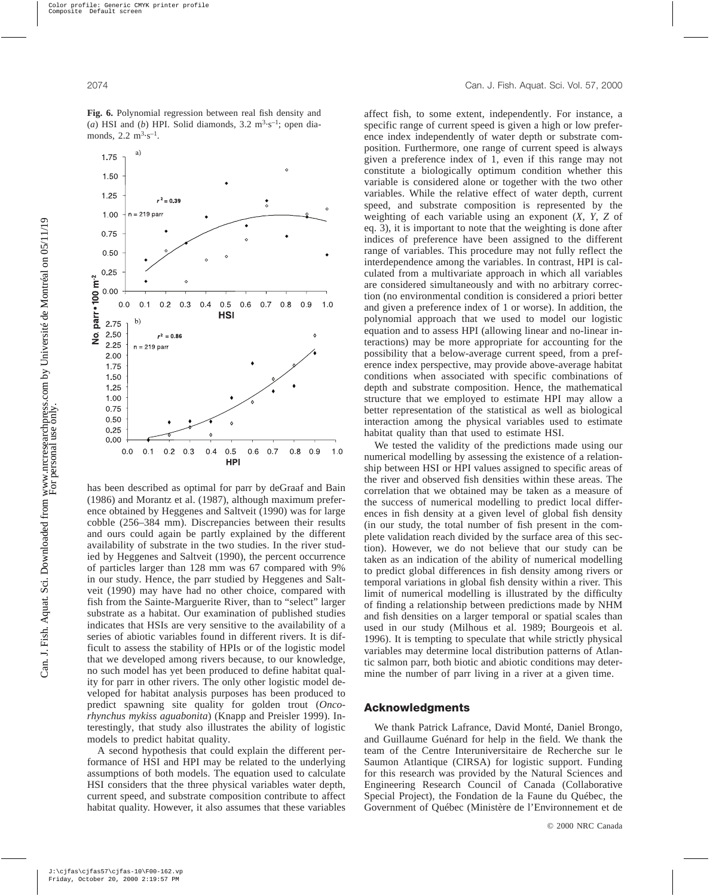

**Fig. 6.** Polynomial regression between real fish density and (*a*) HSI and (*b*) HPI. Solid diamonds,  $3.2 \text{ m}^3 \cdot \text{s}^{-1}$ ; open diamonds,  $2.2 \text{ m}^3 \text{-s}^{-1}$ .

has been described as optimal for parr by deGraaf and Bain (1986) and Morantz et al. (1987), although maximum preference obtained by Heggenes and Saltveit (1990) was for large cobble (256–384 mm). Discrepancies between their results and ours could again be partly explained by the different availability of substrate in the two studies. In the river studied by Heggenes and Saltveit (1990), the percent occurrence of particles larger than 128 mm was 67 compared with 9% in our study. Hence, the parr studied by Heggenes and Saltveit (1990) may have had no other choice, compared with fish from the Sainte-Marguerite River, than to "select" larger substrate as a habitat. Our examination of published studies indicates that HSIs are very sensitive to the availability of a series of abiotic variables found in different rivers. It is difficult to assess the stability of HPIs or of the logistic model that we developed among rivers because, to our knowledge, no such model has yet been produced to define habitat quality for parr in other rivers. The only other logistic model developed for habitat analysis purposes has been produced to predict spawning site quality for golden trout (*Oncorhynchus mykiss aguabonita*) (Knapp and Preisler 1999). Interestingly, that study also illustrates the ability of logistic models to predict habitat quality.

A second hypothesis that could explain the different performance of HSI and HPI may be related to the underlying assumptions of both models. The equation used to calculate HSI considers that the three physical variables water depth, current speed, and substrate composition contribute to affect habitat quality. However, it also assumes that these variables affect fish, to some extent, independently. For instance, a specific range of current speed is given a high or low preference index independently of water depth or substrate composition. Furthermore, one range of current speed is always given a preference index of 1, even if this range may not constitute a biologically optimum condition whether this variable is considered alone or together with the two other variables. While the relative effect of water depth, current speed, and substrate composition is represented by the weighting of each variable using an exponent (*X*, *Y*, *Z* of eq. 3), it is important to note that the weighting is done after indices of preference have been assigned to the different range of variables. This procedure may not fully reflect the interdependence among the variables. In contrast, HPI is calculated from a multivariate approach in which all variables are considered simultaneously and with no arbitrary correction (no environmental condition is considered a priori better and given a preference index of 1 or worse). In addition, the polynomial approach that we used to model our logistic equation and to assess HPI (allowing linear and no-linear interactions) may be more appropriate for accounting for the possibility that a below-average current speed, from a preference index perspective, may provide above-average habitat conditions when associated with specific combinations of depth and substrate composition. Hence, the mathematical structure that we employed to estimate HPI may allow a better representation of the statistical as well as biological interaction among the physical variables used to estimate habitat quality than that used to estimate HSI.

We tested the validity of the predictions made using our numerical modelling by assessing the existence of a relationship between HSI or HPI values assigned to specific areas of the river and observed fish densities within these areas. The correlation that we obtained may be taken as a measure of the success of numerical modelling to predict local differences in fish density at a given level of global fish density (in our study, the total number of fish present in the complete validation reach divided by the surface area of this section). However, we do not believe that our study can be taken as an indication of the ability of numerical modelling to predict global differences in fish density among rivers or temporal variations in global fish density within a river. This limit of numerical modelling is illustrated by the difficulty of finding a relationship between predictions made by NHM and fish densities on a larger temporal or spatial scales than used in our study (Milhous et al. 1989; Bourgeois et al. 1996). It is tempting to speculate that while strictly physical variables may determine local distribution patterns of Atlantic salmon parr, both biotic and abiotic conditions may determine the number of parr living in a river at a given time.

## **Acknowledgments**

We thank Patrick Lafrance, David Monté, Daniel Brongo, and Guillaume Guénard for help in the field. We thank the team of the Centre Interuniversitaire de Recherche sur le Saumon Atlantique (CIRSA) for logistic support. Funding for this research was provided by the Natural Sciences and Engineering Research Council of Canada (Collaborative Special Project), the Fondation de la Faune du Québec, the Government of Québec (Ministère de l'Environnement et de